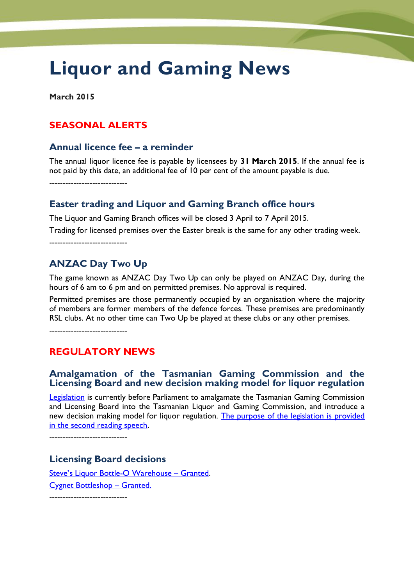# **Liquor and Gaming News**

**March 2015**

## **SEASONAL ALERTS**

#### **Annual licence fee – a reminder**

The annual liquor licence fee is payable by licensees by **31 March 2015**. If the annual fee is not paid by this date, an additional fee of 10 per cent of the amount payable is due.

-----------------------------

#### **Easter trading and Liquor and Gaming Branch office hours**

The Liquor and Gaming Branch offices will be closed 3 April to 7 April 2015.

Trading for licensed premises over the Easter break is the same for any other trading week.

-----------------------------

# **ANZAC Day Two Up**

The game known as ANZAC Day Two Up can only be played on ANZAC Day, during the hours of 6 am to 6 pm and on permitted premises. No approval is required.

Permitted premises are those permanently occupied by an organisation where the majority of members are former members of the defence forces. These premises are predominantly RSL clubs. At no other time can Two Up be played at these clubs or any other premises.

-----------------------------

## **REGULATORY NEWS**

#### **Amalgamation of the Tasmanian Gaming Commission and the Licensing Board and new decision making model for liquor regulation**

[Legislation](http://www.parliament.tas.gov.au/bills/pdf/1_of_2015.pdf) is currently before Parliament to amalgamate the Tasmanian Gaming Commission and Licensing Board into the Tasmanian Liquor and Gaming Commission, and introduce a new decision making model for liquor regulation. The purpose of the legislation is provided [in the second reading speech.](http://www.parliament.tas.gov.au/bills/Bills2015/pdf/notes/1_of_2015-SRS.pdf)

-----------------------------

## **Licensing Board decisions**

[Steve's Liquor Bottle](http://www.treasury.tas.gov.au/domino/dtf/dtf.nsf/LookupFiles/WrittenDecisionStevesLiquorBottle-OWarehouseupdated.PDF/$file/WrittenDecisionStevesLiquorBottle-OWarehouseupdated.PDF)-O Warehouse – Granted. [Cygnet Bottleshop](http://www.treasury.tas.gov.au/domino/dtf/dtf.nsf/LookupFiles/LicensingBoardDecisionCygnetBottleShop.PDF/$file/LicensingBoardDecisionCygnetBottleShop.PDF) – Granted. -----------------------------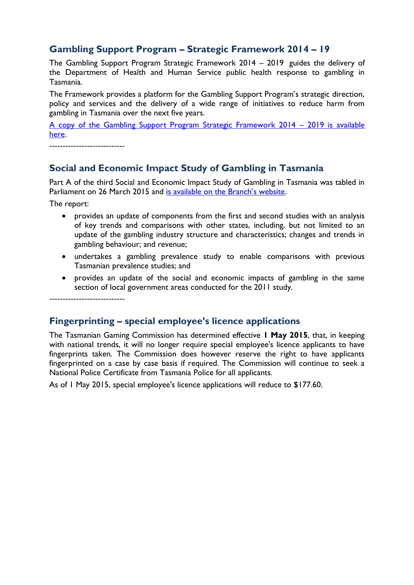# **Gambling Support Program – Strategic Framework 2014 – 19**

The Gambling Support Program Strategic Framework 2014 – 2019 guides the delivery of the Department of Health and Human Service public health response to gambling in Tasmania.

The Framework provides a platform for the Gambling Support Program's strategic direction, policy and services and the delivery of a wide range of initiatives to reduce harm from gambling in Tasmania over the next five years.

[A copy of the Gambling Support Program Strategic Framework 2014](http://www.dhhs.tas.gov.au/__data/assets/pdf_file/0006/185568/Gambling_Support_Services_Strategic_Framework_2014-02-10.pdf) – 2019 is available [here.](http://www.dhhs.tas.gov.au/__data/assets/pdf_file/0006/185568/Gambling_Support_Services_Strategic_Framework_2014-02-10.pdf)

----------------------------

# **Social and Economic Impact Study of Gambling in Tasmania**

Part A of the third Social and Economic Impact Study of Gambling in Tasmania was tabled in Parliament on 26 March 2015 and [is available on the Branch's website](http://www.treasury.tas.gov.au/domino/dtf/dtf.nsf/6044ee0c1cf958a2ca256f2500108bba/c4d6d16c4aac53c9ca257d8200177256?OpenDocument).

The report:

- provides an update of components from the first and second studies with an analysis of key trends and comparisons with other states, including, but not limited to an update of the gambling industry structure and characteristics; changes and trends in gambling behaviour; and revenue;
- undertakes a gambling prevalence study to enable comparisons with previous Tasmanian prevalence studies; and
- provides an update of the social and economic impacts of gambling in the same section of local government areas conducted for the 2011 study.

----------------------------

## **Fingerprinting – special employee's licence applications**

The Tasmanian Gaming Commission has determined effective **1 May 2015**, that, in keeping with national trends, it will no longer require special employee's licence applicants to have fingerprints taken. The Commission does however reserve the right to have applicants fingerprinted on a case by case basis if required. The Commission will continue to seek a National Police Certificate from Tasmania Police for all applicants.

As of 1 May 2015, special employee's licence applications will reduce to \$177.60.